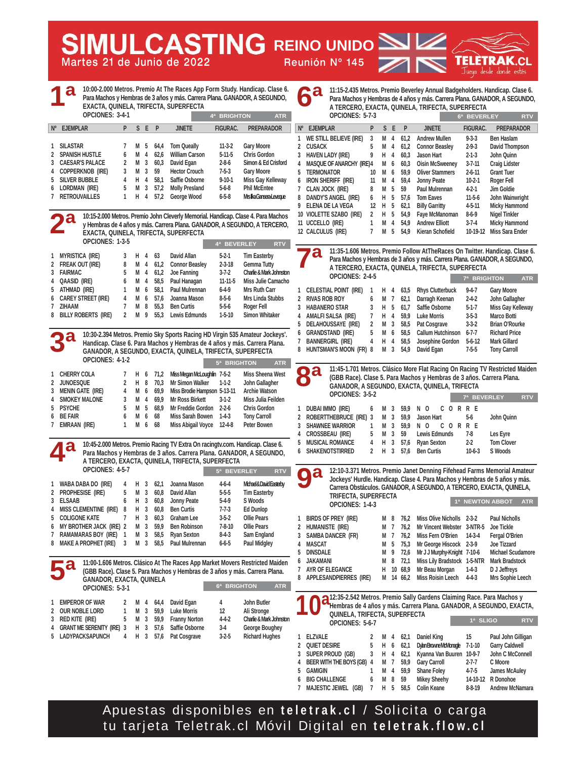**Martes 21 de Junio de 2022 Reunión Nº 145**

**SIMULCASTING REINO UNIDO TELETRAK** Juega desde donde estés

**6ª BEVERLEY RTV**

**7ª BRIGHTON ATR**

**7ª BEVERLEY RTV**

**1ª NEWTON ABBOT ATR**

**1ª SLIGO RTV**

**10:00-2.000 Metros. Premio At The Races App Form Study. Handicap. Clase 6. Para Machos y Hembras de 3 años y más. Carrera Plana. GANADOR, A SEGUNDO, EXACTA, QUINELA, TRIFECTA, SUPERFECTA OPCIONES: 3-4-1 1 SILASTAR 7 M 5 64,4 Tom Queally 11-3-2 Gary Moore 2 SPANISH HUSTLE 6 M 4 62,6 William Carson 5-11-5 Chris Gordon 3 CAESAR'S PALACE 2 M 3 60,3 David Egan 2-8-6 Simon & Ed Crisford 4 COPPERKNOB (IRE) 3 M 3 59 Hector Crouch 7-5-3 Gary Moore 5 SILVER BUBBLE 4 H 4 58,1 Saffie Osborne 9-10-1 Miss Gay Kelleway 6 LORDMAN (IRE) 5 M 3 57,2 Molly Presland 5-6-8 Phil McEntee 7 RETROUVAILLES 1 H 4 57,2 George Wood 6-5-8 Mrs Ilka Gansera-Leveque 10:15-2.000 Metros. Premio John Cleverly Memorial. Handicap. Clase 4. Para Machos y Hembras de 4 años y más. Carrera Plana. GANADOR, A SEGUNDO, A TERCERO, EXACTA, QUINELA, TRIFECTA, SUPERFECTA OPCIONES: 1-3-5 1 MYRISTICA (IRE) 3 H 4 63 David Allan 5-2-1 Tim Easterby 2 FREAK OUT (IRE) 8 M 4 61,2 Connor Beasley 2-3-18 Gemma Tutty 3 FAIRMAC 5 M 4 61,2 Joe Fanning 3-7-2 Charlie & Mark Johnston 4 QAASID (IRE) 6 M 4 58,5 Paul Hanagan 11-11-5 Miss Julie Camacho**  5 ATHMAD (IRE) 1 M 6 58.1 Paul Mulrennan 6-4-9 **6 CAREY STREET (IRE) 4 M 6 57,6 Joanna Mason 8-5-6 Mrs Linda Stubbs 7 ZIHAAM 7 M 8 55,3 Ben Curtis 5-5-6 Roger Fell 8 BILLY ROBERTS (IRE) 2 M 9 55,3 Lewis Edmunds 1-5-10 Simon Whitaker 10:30-2.394 Metros. Premio Sky Sports Racing HD Virgin 535 Amateur Jockeys'. Handicap. Clase 6. Para Machos y Hembras de 4 años y más. Carrera Plana. GANADOR, A SEGUNDO, EXACTA, QUINELA, TRIFECTA, SUPERFECTA OPCIONES: 4-1-2 1 CHERRY COLA 7 H 6 71,2 Miss Megan McLoughlin 7-5-2 Miss Sheena West 2 JUNOESQUE 2 H 8 70,3 Mr Simon Walker 1-1-2 John Gallagher 3 MENIN GATE (IRE) 4 M 6 69,9 Miss Brodie Hampson 5-13-11 Archie Watson 4 SMOKEY MALONE 3 M 4 69,9 Mr Ross Birkett 3-1-2 Miss Julia Feilden 5 PSYCHE 5 M 5 68,9 Mr Freddie Gordon 2-2-6 Chris Gordon 6 BE FAIR 6 M 6 68 Miss Sarah Bowen 1-4-3 Tony Carroll 7 EMRAAN (IRE) 1 M 6 68 Miss Abigail Voyce 12-4-8 Peter Bowen 10:45-2.000 Metros. Premio Racing TV Extra On racingtv.com. Handicap. Clase 6. Para Machos y Hembras de 3 años. Carrera Plana. GANADOR, A SEGUNDO, A TERCERO, EXACTA, QUINELA, TRIFECTA, SUPERFECTA OPCIONES: 4-5-7 1 WABA DABA DO (IRE) 4 H 3 62,1 Joanna Mason 4-6-4 Michael & David Easterby 2 PROPHESISE (IRE) 5 M 3 60,8 David Allan 5-5-5 Tim Easterby 3 ELSAAB 6 H 3 60,8 Jonny Peate 5-4-9 S Woods 4 MISS CLEMENTINE (IRE) 8 H 3 60,8 Ben Curtis 7-7-3 Ed Dunlop 5 COLIGONE KATE 7 H 3 60,3 Graham Lee 3-5-2 Ollie Pears 6 MY BROTHER JACK (IRE) 2 M 3 59,9 Ben Robinson 7-8-10 Ollie Pears 7 RAMAMARAS BOY (IRE) 1 M 3 58,5 Ryan Sexton 8-4-3 Sam England 8 MAKE A PROPHET (IRE) 3 M 3 58,5 Paul Mulrennan 6-6-5 Paul Midgley 11:00-1.606 Metros. Clásico At The Races App Market Movers Restricted Maiden (GBB Race). Clase 5. Para Machos y Hembras de 3 años y más. Carrera Plana. GANADOR, EXACTA, QUINELA OPCIONES: 5-3-1 1 EMPEROR OF WAR 2 M 4 64,4 David Egan 4 John Butler 2 OUR NOBLE LORD 1 M 3 59,9 Luke Morris 12 Ali Stronge 3 RED KITE (IRE) 5 M 3 59,9 Franny Norton 4-4-2 Charlie & Mark Johnston 4 GRANT ME SERENITY (IRE) 3 H 3 57,6 Saffie Osborne 3-4 George Boughey 5 LADYPACKSAPUNCH 4 H 3 57,6 Pat Cosgrave 3-2-5 Richard Hughes 11:15-2.435 Metros. Premio Beverley Annual Badgeholders. Handicap. Clase 6. Para Machos y Hembras de 4 años y más. Carrera Plana. GANADOR, A SEGUNDO, A TERCERO, EXACTA, QUINELA, TRIFECTA, SUPERFECTA OPCIONES: 5-7-3 1 WE STILL BELIEVE (IRE) 3 M 4 61,2 Andrew Mullen 9-3-3 Ben Haslam 2 CUSACK 5 M 4 61,2 Connor Beasley 2-9-3 David Thompson 3 HAVEN LADY (IRE) 9 H 4 60,3 Jason Hart 2-1-3 John Quinn 4 MASQUE OF ANARCHY (IRE)4 M 6 60,3 Oisin McSweeney 3-7-11 Craig Lidster 5 TERMONATOR 10 M 6 59,9 Oliver Stammers 2-6-11 Grant Tuer 6 IRON SHERIFF (IRE) 11 M 4 59,4 Jonny Peate 10-2-1 Roger Fell 7 CLAN JOCK (IRE) 8 M 5 59 Paul Mulrennan 4-2-1 Jim Goldie 8 DANDY'S ANGEL (IRE) 6 H 5 57,6 Tom Eaves 11-5-6 John Wainwright 9 ELENA DE LA VEGA 12 H 5 62,1 Billy Garritty 4-5-11 Micky Hammond 10 VIOLETTE SZABO (IRE) 2 H 5 54,9 Faye McManoman 8-6-9 Nigel Tinkler 11 UCCELLO (IRE) 1 M 4 54,9 Andrew Elliott 3-7-4 Micky Hammond 12 CALCULUS (IRE) 7 M 5 54,9 Kieran Schofield 10-19-12 Miss Sara Ender 11:35-1.606 Metros. Premio Follow AtTheRaces On Twitter. Handicap. Clase 6. Para Machos y Hembras de 3 años y más. Carrera Plana. GANADOR, A SEGUNDO, A TERCERO, EXACTA, QUINELA, TRIFECTA, SUPERFECTA OPCIONES: 2-4-5 1 CELESTIAL POINT (IRE) 1 H 4 63,5 Rhys Clutterbuck 9-4-7 Gary Moore 2 RIVAS ROB ROB ROB ROOM 6 M 7 62,1 Darragh Keenan 3 HABANERO STAR 3 H 5 61,7 Saffie Osborne 5-1-7 Miss Gay Kelleway 4 AMALFI SALSA (IRE) 7 H 4 59,9 Luke Morris 3-5-3 Marco Botti 5 DELAHOUSSAYE (IRE) 2 M 3 58,5 Pat Cosgrave 3-3-2 Brian O'Rourke 6 GRANDSTAND (IRE) 5 M 6 58,5 Callum Hutchinson 6-7-7 Richard Price 7 BANNERGIRL (IRE) 4 H 4 58,5 Josephine Gordon 5-6-12 Mark Gillard 8 HUNTSMAN'S MOON (FR) 8 M 3 54,9 David Egan 7-5-5 Tony Carroll 11:45-1.701 Metros. Clásico More Flat Racing On Racing TV Restricted Maiden (GBB Race). Clase 5. Para Machos y Hembras de 3 años. Carrera Plana. GANADOR, A SEGUNDO, EXACTA, QUINELA, TRIFECTA OPCIONES: 3-5-2 1 DUBAI IMMO (IRE) 6 M 3 59,9 N O CORRE 2 ROBERTTHEBRUCE (IRE) 3 M 3 59,9 Jason Hart 5-6 John Quinn 3 SHAWNEE WARRIOR 1 M 3 59.9 N O C. 4 CROSSBEAU (IRE) 5 M 3 59 Lewis Edmunds 7-8 Les Eyre 5 MUSICAL ROMANCE 4 H 3 57,6 Ryan Sexton 2-2 Tom Clover 6 SHAKENOTSTIRRED 2 H 3 57,6 Ben Curtis 10-6-3 S Woods 12:10-3.371 Metros. Premio Janet Denning Fifehead Farms Memorial Amateur Jockeys' Hurdle. Handicap. Clase 4. Para Machos y Hembras de 5 años y más. Carrera Obstáculos. GANADOR, A SEGUNDO, A TERCERO, EXACTA, QUINELA, TRIFECTA, SUPERFECTA OPCIONES: 1-4-3 1 BIRDS OF PREY (IRE) M 8 76,2 Miss Olive Nicholls 2-3-2 Paul Nicholls 2 HUMANISTE (IRE) M 7 76,2 Mr Vincent Webster 3-NTR-5 Joe Tickle**  3 SAMBA DANCER (FR) M 7 76,2 Miss Fern O'Brien 14-3-4 Fergal O'Brien **4 MASCAT M 5 75,3 Mr George Hiscock 2-3-9 Joe Tizzard 5 DINSDALE M 9 72,6 Mr J J Murphy-Knight 7-10-6 Michael Scudamore 6 JAKAMANI M 8 72,1 Miss Lily Bradstock 1-5-NTR Mark Bradstock 7 AYR OF ELEGANCE H 10 68,9 Mr Beau Morgan 1-4-3 D J Jeffreys 8 APPLESANDPIERRES (IRE) M 14 66,2 Miss Roisin Leech 4-4-3 Mrs Sophie Leech 12:35-2.542 Metros. Premio Sally Gardens Claiming Race. Para Machos y Hembras de 4 años y más. Carrera Plana. GANADOR, A SEGUNDO, EXACTA, QUINELA, TRIFECTA, SUPERFECTA QUINELA, TRIFECTA, SUPERFECTA OPCIONES: 5-6-7 1 ELZVALE 2 M 4 62,1 Daniel King 15 Paul John Gilligan 2 QUIET DESIRE 5 H 6 62,1 Dylan Browne McMonagle 7-1-10 Garry Caldwell**  3 SUPER PROUD (GB) 3 H 4 62,1 Kyanna Van Buuren 10-9-7 **4 BEER WITH THE BOYS (GB) 4 M 7 59,9 Gary Carroll 2-7-7 C Moore 5 GAMIGIN 1 M 4 59,9 Shane Foley 4-7-5 James McAuley Nº EJEMPLAR P S E P JINETE FIGURAC. PREPARADOR 1ª 4ª BEVERLEY RTV 5ª BRIGHTON ATR 5ª BEVERLEY RTV 6ª BRIGHTON 4ª BRIGHTON ATR Nº EJEMPLAR P S E P JINETE FIGURAC. PREPARADOR 2ª 3ª 4ª 5ª 7ª 8ª 9ª 6ª**

> **6 BIG CHALLENGE 6 M 8 59 Mikey Sheehy 14-10-12 R Donohoe 7 MAJESTIC JEWEL (GB) 7 H 5 58,5 Colin Keane 8-8-19 Andrew McNamara**

Apuestas disponibles en **teletrak.cl** / Solicita o carga tu tarjeta Teletrak.cl Móvil Digital en **teletrak.flow.cl**